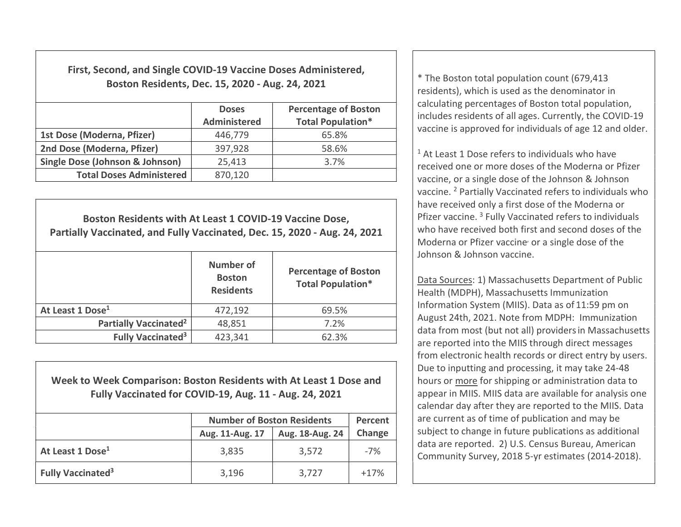First, Second, and Single COVID-19 Vaccine Doses Administered, Boston Residents, Dec. 15, 2020 - Aug. 24, 2021  $\vert$  \* The Boston total population count (679,413

|                                            | <b>Doses</b><br><b>Administered</b> | <b>Percentage of Boston</b><br><b>Total Population*</b> |  |
|--------------------------------------------|-------------------------------------|---------------------------------------------------------|--|
| 1st Dose (Moderna, Pfizer)                 | 446,779                             | 65.8%                                                   |  |
| 2nd Dose (Moderna, Pfizer)                 | 397,928                             | 58.6%                                                   |  |
| <b>Single Dose (Johnson &amp; Johnson)</b> | 25,413                              | 3.7%                                                    |  |
| <b>Total Doses Administered</b>            | 870,120                             |                                                         |  |

| Boston Residents with At Least 1 COVID-19 Vaccine Dose,<br>Partially Vaccinated, and Fully Vaccinated, Dec. 15, 2020 - Aug. 24, 2021 |                                                       |                                                         |  |  |  |  |
|--------------------------------------------------------------------------------------------------------------------------------------|-------------------------------------------------------|---------------------------------------------------------|--|--|--|--|
|                                                                                                                                      | <b>Number of</b><br><b>Boston</b><br><b>Residents</b> | <b>Percentage of Boston</b><br><b>Total Population*</b> |  |  |  |  |
| At Least 1 Dose <sup>1</sup>                                                                                                         | 472,192                                               | 69.5%                                                   |  |  |  |  |
| <b>Partially Vaccinated<sup>2</sup></b>                                                                                              | 48,851                                                | 7.2%                                                    |  |  |  |  |
| <b>Fully Vaccinated<sup>3</sup></b>                                                                                                  | 423,341                                               | 62.3%                                                   |  |  |  |  |

## Week to Week Comparison: Boston Residents with At Least 1 Dose and Fully Vaccinated for COVID-19, Aug. 11 - Aug. 24, 2021

|                                     | <b>Number of Boston Residents</b> | Percent         |        |
|-------------------------------------|-----------------------------------|-----------------|--------|
|                                     | Aug. 11-Aug. 17                   | Aug. 18-Aug. 24 | Change |
| At Least 1 Dose <sup>1</sup>        | 3,835                             | 3,572           | $-7%$  |
| <b>Fully Vaccinated<sup>3</sup></b> | 3,196                             | 3,727           | $+17%$ |

residents), which is used as the denominator in calculating percentages of Boston total population, includes residents of all ages. Currently, the COVID-19 vaccine is approved for individuals of age 12 and older.

<sup>1</sup> At Least 1 Dose refers to individuals who have received one or more doses of the Moderna or Pfizer vaccine, or a single dose of the Johnson & Johnson vaccine. <sup>2</sup> Partially Vaccinated refers to individuals who have received only a first dose of the Moderna or Pfizer vaccine.<sup>3</sup> Fully Vaccinated refers to individuals who have received both first and second doses of the Moderna or Pfizer vaccine or a single dose of the Johnson & Johnson vaccine.

Data Sources: 1) Massachusetts Department of Public Health (MDPH), Massachusetts Immunization Information System (MIIS). Data as of 11:59 pm on August 24th, 2021. Note from MDPH: Immunization data from most (but not all) providersin Massachusetts are reported into the MIIS through direct messages from electronic health records or direct entry by users. Due to inputting and processing, it may take 24-48 hours or more for shipping or administration data to appear in MIIS. MIIS data are available for analysis one calendar day after they are reported to the MIIS. Data are current as of time of publication and may be subject to change in future publications as additional data are reported. 2) U.S. Census Bureau, American Community Survey, 2018 5-yr estimates (2014-2018).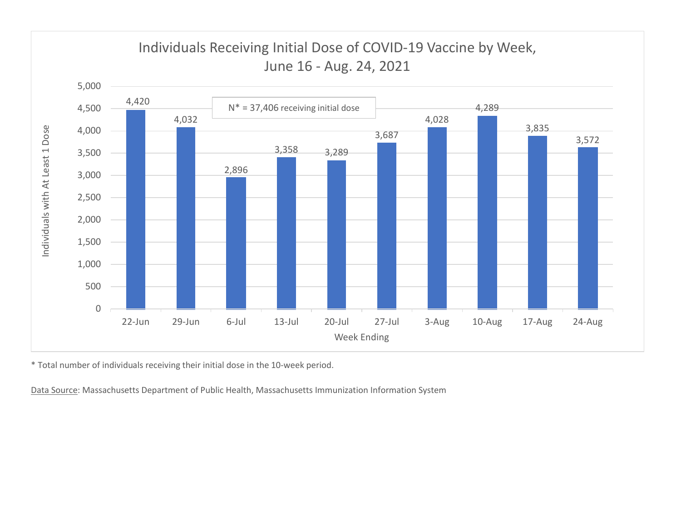

\* Total number of individuals receiving their initial dose in the 10-week period.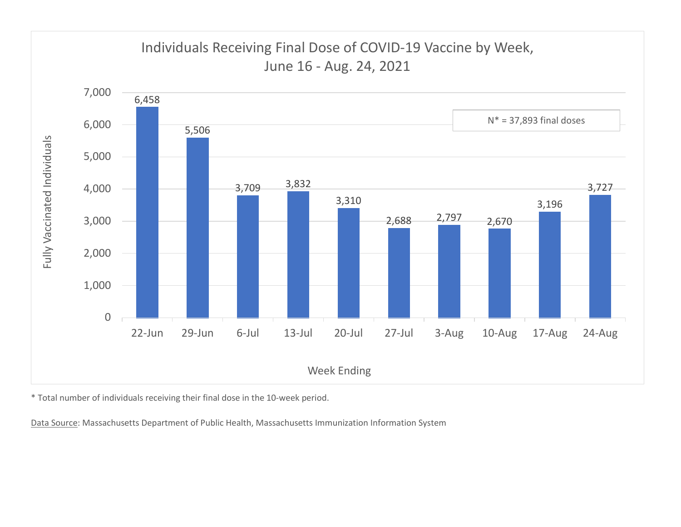

\* Total number of individuals receiving their final dose in the 10-week period.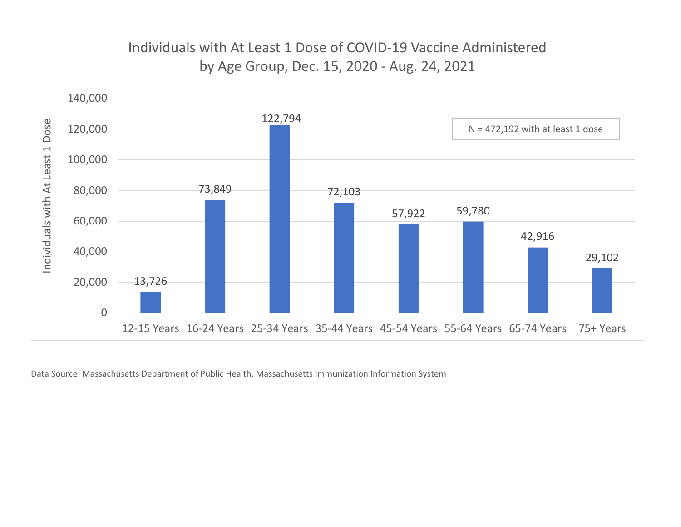

Data Source: Massachusetts Department of Public Health, Massachusetts Immunization Information System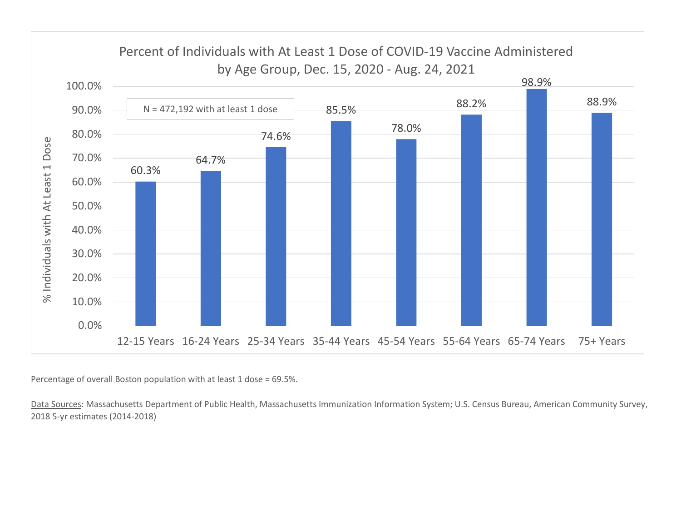

Percentage of overall Boston population with at least 1 dose = 69.5%.

Data Sources: Massachusetts Department of Public Health, Massachusetts Immunization Information System; U.S. Census Bureau, American Community Survey, 2018 5-yr estimates (2014-2018)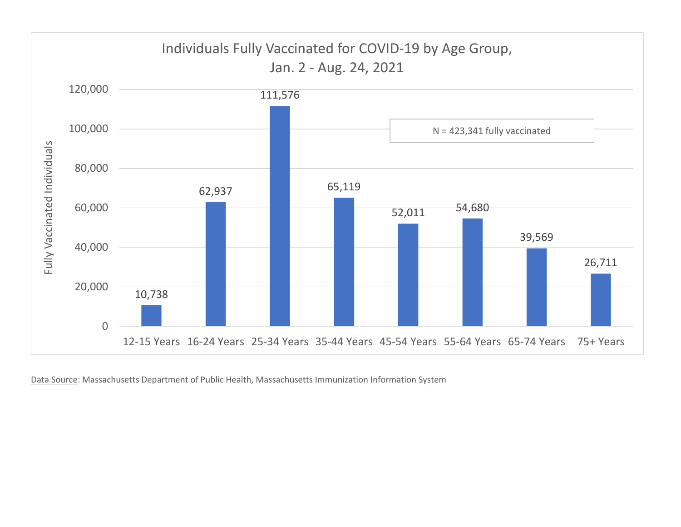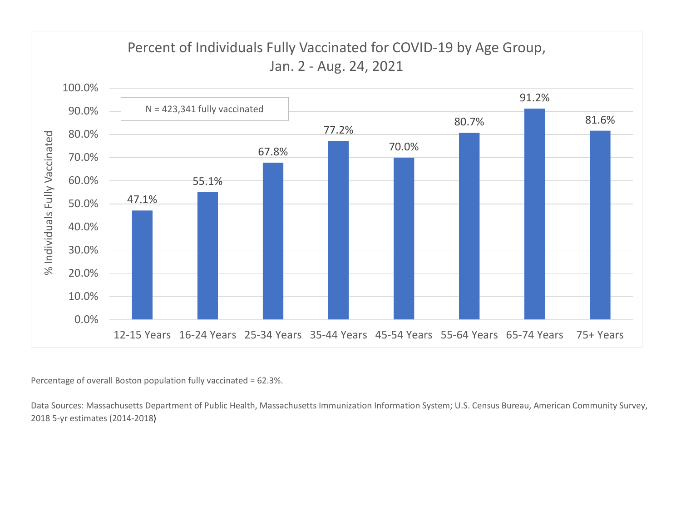

Percentage of overall Boston population fully vaccinated = 62.3%.

Data Sources: Massachusetts Department of Public Health, Massachusetts Immunization Information System; U.S. Census Bureau, American Community Survey, 2018 5-yr estimates (2014-2018)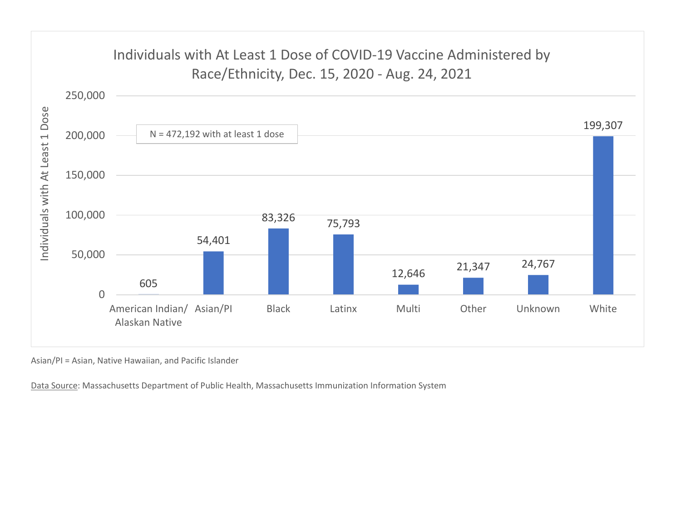

Asian/PI = Asian, Native Hawaiian, and Pacific Islander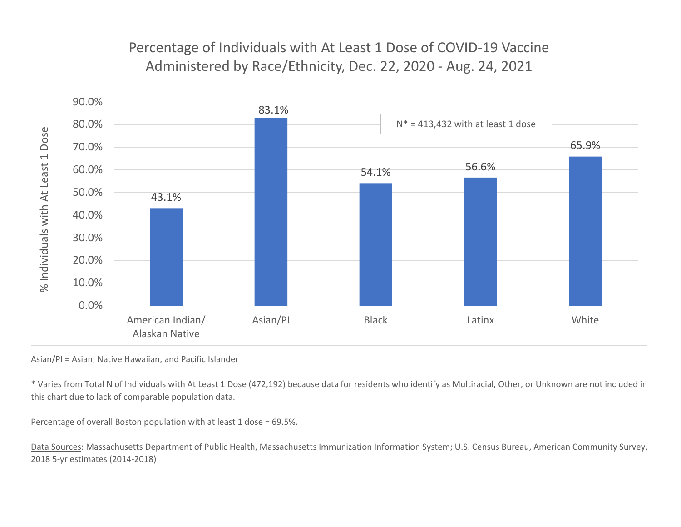

Asian/PI = Asian, Native Hawaiian, and Pacific Islander

\* Varies from Total N of Individuals with At Least 1 Dose (472,192) because data for residents who identify as Multiracial, Other, or Unknown are not included in this chart due to lack of comparable population data.

Percentage of overall Boston population with at least 1 dose = 69.5%.

Data Sources: Massachusetts Department of Public Health, Massachusetts Immunization Information System; U.S. Census Bureau, American Community Survey, 2018 5-yr estimates (2014-2018)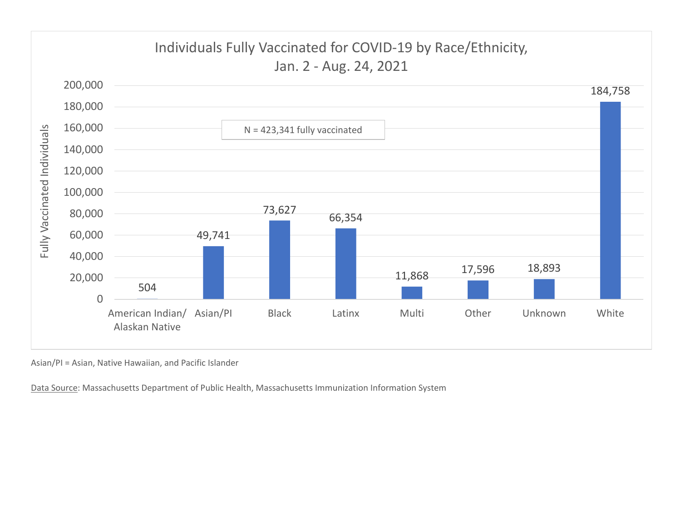

Asian/PI = Asian, Native Hawaiian, and Pacific Islander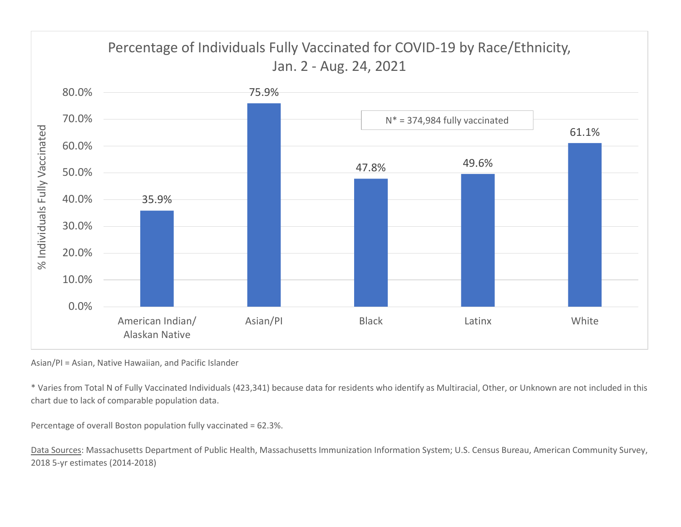

Asian/PI = Asian, Native Hawaiian, and Pacific Islander

\* Varies from Total N of Fully Vaccinated Individuals (423,341) because data for residents who identify as Multiracial, Other, or Unknown are not included in this chart due to lack of comparable population data.

Percentage of overall Boston population fully vaccinated = 62.3%.

Data Sources: Massachusetts Department of Public Health, Massachusetts Immunization Information System; U.S. Census Bureau, American Community Survey, 2018 5-yr estimates (2014-2018)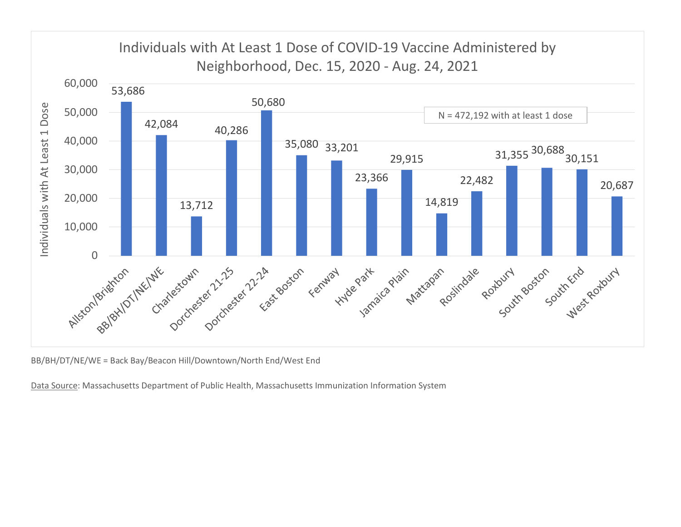

BB/BH/DT/NE/WE = Back Bay/Beacon Hill/Downtown/North End/West End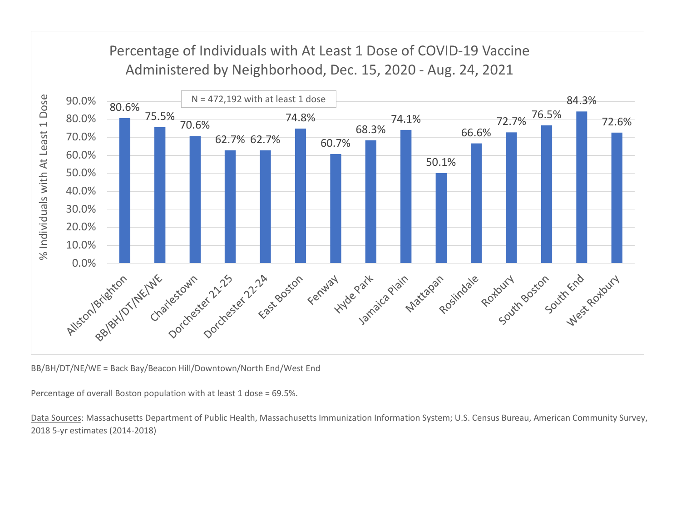

BB/BH/DT/NE/WE = Back Bay/Beacon Hill/Downtown/North End/West End

Percentage of overall Boston population with at least 1 dose = 69.5%.

Data Sources: Massachusetts Department of Public Health, Massachusetts Immunization Information System; U.S. Census Bureau, American Community Survey, 2018 5-yr estimates (2014-2018)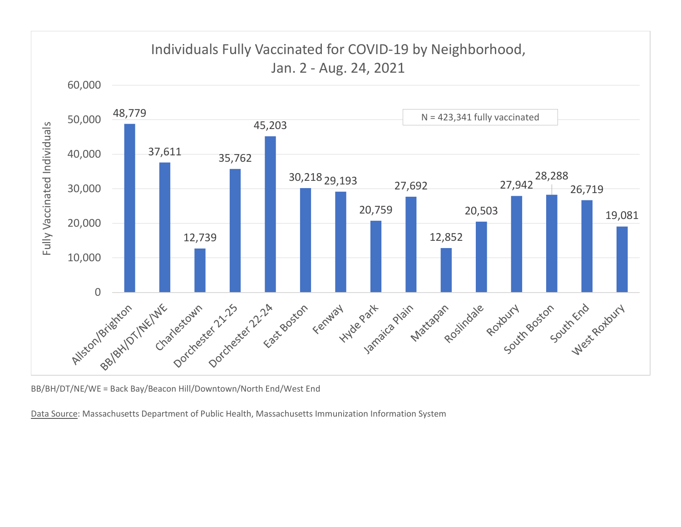

BB/BH/DT/NE/WE = Back Bay/Beacon Hill/Downtown/North End/West End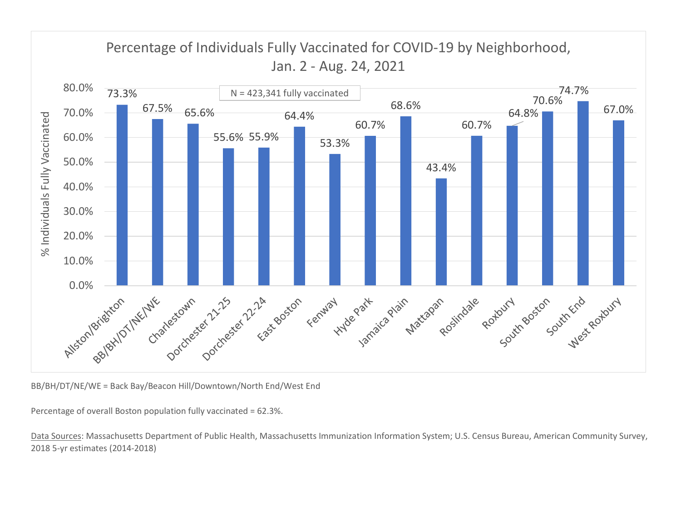

BB/BH/DT/NE/WE = Back Bay/Beacon Hill/Downtown/North End/West End

Percentage of overall Boston population fully vaccinated = 62.3%.

Data Sources: Massachusetts Department of Public Health, Massachusetts Immunization Information System; U.S. Census Bureau, American Community Survey, 2018 5-yr estimates (2014-2018)